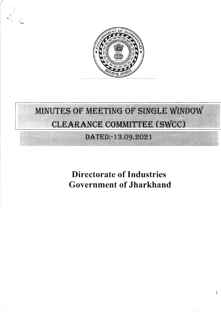

# MINUTES OF MEETING OF SINGLE WINDOW CLEARANCE COMMITTEE (SWCC)

## DATED:-13.09.2021

**Directorate of Industries Government of Jharkhand**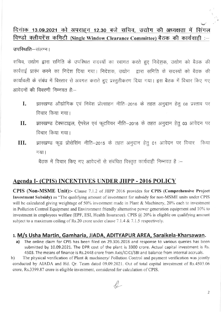### दिनांक 13.09.2021 को अपराहन 12.30 बजे सचिव, उद्योग की अध्यक्षता में सिंगल विण्डो क्लीयरेंस कमिटी (Single Window Clearance Committee) बैठक की कार्यवाही :-

उपस्थिति-संलग्न।

सचिव, उद्योग द्वारा समिति के उपस्थित सदस्यों का स्वागत करते हुए निदेशक, उद्योग को बैठक की कार्रवाई प्रारंभ करने का निदेश दिया गया। निदेशक, उद्योग, द्वारा समिति के सदस्यों को बैठक की कार्यावली के संबंध में विस्तार से अवगत कराते हुए प्रस्तुतीकरण दिया गया। इस बैठक में विचार किए गए आवेदनों की विवरणी निम्नवत है:--

- झारखण्ड औद्योगिक एवं निवेश प्रोत्साहन नीति-2016 के तहत अनुदान हेतु 08 प्रस्ताव पर I. विचार किया गया।
- झारखण्ड टेक्सटाइल, ऐपरेल एवं फूटवियर नीति-2016 के तहत अनुदान हेतु 03 आवेदन पर II. विचार किया गया।
- झारखण्ड फूड प्रोसेसिंग नीति-2015 के तहत अनुदान हेतू 01 आवेदन पर विचार III. किया गया।

बैठक में विचार किए गए आवेदनों से संबंधित विस्तृत कार्यवाही निम्नवत है :-

#### Agenda I- (CPIS) INCENTIVES UNDER JIIPP - 2016 POLICY

CPIS (Non-MSME Unit):- Clause 7.1.2 of JIIPP 2016 provides for CPIS (Comprehensive Project Investment Subsidy) as "The qualifying amount of investment for subsidy for non-MSME units under CPIS will be calculated giving weightage of 50% investment made in Plant & Machinery, 20% each to investment in Pollution Control Equipment and Environment friendly alternative power generation equipment and 10% to investment in employees welfare (EPF, ESI, Health Insurance). CPIS  $@$  20% is eligible on qualifying amount subject to a maximum ceiling of Rs.20 crore under clause 7.1.4 & 7.1.5 respectively.

#### 1. M/s Usha Martin, Gamharia, JIADA, ADITYAPUR AREA, Saraikela-Kharsawan.

The online claim for CPIS has been filed on 29.306.2018 and response to various queries has been a) submitted by 10.09.2021. The DPR cost of the plant is 3300 crore. Actual capital investment is Rs. 4503. The means of finance is Rs.2448 crore from Axis/ICICI/SBI and balance from internal accruals.

 $b)$ The physical verification of Plant & machinery/ Pollution Control and payment verification was jointly conducted by AIADA and Hd. Qr. Team dated 09.09.2021. Out of total capital investment of Rs.4503.06 crore, Rs.3399.87 crore is eligible investment, considered for calculation of CPIS.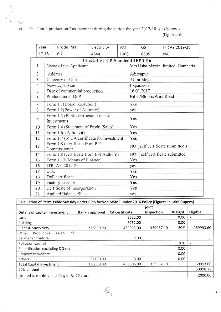$c)$ The Unit's production/Tax payment during the period the year 2017-18 is as below:-(Fig. in Lakh)

 $\ddot{\mathbf{C}}$ 

| Year           |                                                   | Prodn. MT.                                      | Electricity                      | VAT                    |                                 | <b>GST</b> | <b>ITR AY 2019-20</b>            |
|----------------|---------------------------------------------------|-------------------------------------------------|----------------------------------|------------------------|---------------------------------|------------|----------------------------------|
|                | $17 - 18$                                         | 6.2                                             | 4844                             | 1000                   |                                 | 8395       | <b>NA</b>                        |
|                |                                                   |                                                 | Check-List CPIS under JIIPP 2016 |                        |                                 |            |                                  |
| 1              |                                                   | Name of the Applicant                           |                                  |                        |                                 |            | M/s Usha Martin limited Gamharia |
| $\overline{c}$ |                                                   | Address                                         |                                  |                        |                                 | Adityapur  |                                  |
| 3              |                                                   | Category of Unit                                |                                  |                        |                                 | Ultra Mega |                                  |
| 4              | New/Expansion<br>Expansion                        |                                                 |                                  |                        |                                 |            |                                  |
| 5              |                                                   | Date of commercial production<br>16.01.2017     |                                  |                        |                                 |            |                                  |
| 6              | Product under DoP                                 |                                                 |                                  | Billet/Bloom/Wire Road |                                 |            |                                  |
| 7              |                                                   | Form 1.1(Board resolution)                      |                                  |                        | Yes                             |            |                                  |
| 8              |                                                   | Form 1.2(Power of Attorney)                     |                                  |                        | yes                             |            |                                  |
| 9              | Form 1.3 (Bank certificate, Loan &<br>Investment) |                                                 |                                  | Yes                    |                                 |            |                                  |
| 10             |                                                   | Form 1.4 (Statement of Prodn./Sales)            |                                  |                        | Yes                             |            |                                  |
| 11             |                                                   | Form 1.6 (Affidavit)                            |                                  |                        | Yes                             |            |                                  |
| 12             |                                                   | Form 1.7 (b) CA certificate for Investment      |                                  |                        | Yes                             |            |                                  |
| 13             |                                                   | Form 1.8 (certificate from P.F.<br>Commissioner |                                  |                        | NO (self certificate submitted) |            |                                  |
| 14             |                                                   | Form 1.8 (certificate from ESI Authority        |                                  |                        | NO (self certificate submitted  |            |                                  |
| 15             |                                                   | Form 1.13 (Means of Finance)                    |                                  |                        | Yes                             |            |                                  |
| 16             |                                                   | ITR AY 2019-20                                  |                                  |                        | yes                             |            |                                  |
| 17             |                                                   | <b>CTO</b>                                      |                                  |                        | Yes                             |            |                                  |
| 18             |                                                   | DoP certificate                                 |                                  |                        | Yes                             |            |                                  |
| 19             |                                                   | Factory License                                 |                                  |                        | Yes                             |            |                                  |
| 20             |                                                   | Certificate of incorporation                    |                                  |                        | Yes                             |            |                                  |
| 21             |                                                   | <b>Audited Balance Sheet</b>                    |                                  |                        | yes                             |            |                                  |

| Calculation of Permissible Subsidy under CPIS forNon MSME under 2016 Policy (Figures in Lakh Rupees) |                 |                       |                     |        |                |  |  |
|------------------------------------------------------------------------------------------------------|-----------------|-----------------------|---------------------|--------|----------------|--|--|
| Details of capital Investment                                                                        | Bank's approval | <b>CA</b> certificate | joint<br>Inspection | Weight | Eligible       |  |  |
| Land                                                                                                 |                 | 3622.00               |                     | 0.00   | $\blacksquare$ |  |  |
| <b>Building</b>                                                                                      |                 | 6762.00               |                     | 0.00   | ÷              |  |  |
| Plant & Machinery                                                                                    | 272850.00       | 439913.00             | 339987.19           | 50%    | 169993.60      |  |  |
| Productive<br>of<br>Other<br>assets<br>permanent nature                                              |                 | 9.00                  |                     |        |                |  |  |
| Pollution control                                                                                    |                 |                       |                     | 20%    | ٠              |  |  |
| Electrification excluding DG set                                                                     |                 |                       |                     | 0.00   | $\blacksquare$ |  |  |
| Employees welfare                                                                                    |                 |                       |                     | 0.00   | ۰              |  |  |
| others                                                                                               | 57150.00        | 0.00                  |                     | 0.00   | u,             |  |  |
| <b>Total Capital Investment</b>                                                                      | 330000.00       | 450306.00             | 339987.19           |        | 169993.60      |  |  |
| 20% amount                                                                                           |                 |                       |                     |        | 33998.72       |  |  |
| Limited to maximum ceiling of Rs.20 crore                                                            |                 |                       |                     |        |                |  |  |

 $\mathcal{L}$